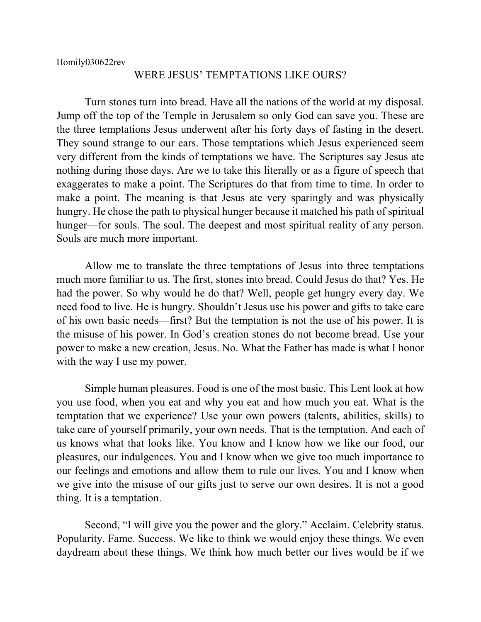## WERE JESUS' TEMPTATIONS LIKE OURS?

Turn stones turn into bread. Have all the nations of the world at my disposal. Jump off the top of the Temple in Jerusalem so only God can save you. These are the three temptations Jesus underwent after his forty days of fasting in the desert. They sound strange to our ears. Those temptations which Jesus experienced seem very different from the kinds of temptations we have. The Scriptures say Jesus ate nothing during those days. Are we to take this literally or as a figure of speech that exaggerates to make a point. The Scriptures do that from time to time. In order to make a point. The meaning is that Jesus ate very sparingly and was physically hungry. He chose the path to physical hunger because it matched his path of spiritual hunger—for souls. The soul. The deepest and most spiritual reality of any person. Souls are much more important.

Allow me to translate the three temptations of Jesus into three temptations much more familiar to us. The first, stones into bread. Could Jesus do that? Yes. He had the power. So why would he do that? Well, people get hungry every day. We need food to live. He is hungry. Shouldn't Jesus use his power and gifts to take care of his own basic needs—first? But the temptation is not the use of his power. It is the misuse of his power. In God's creation stones do not become bread. Use your power to make a new creation, Jesus. No. What the Father has made is what I honor with the way I use my power.

Simple human pleasures. Food is one of the most basic. This Lent look at how you use food, when you eat and why you eat and how much you eat. What is the temptation that we experience? Use your own powers (talents, abilities, skills) to take care of yourself primarily, your own needs. That is the temptation. And each of us knows what that looks like. You know and I know how we like our food, our pleasures, our indulgences. You and I know when we give too much importance to our feelings and emotions and allow them to rule our lives. You and I know when we give into the misuse of our gifts just to serve our own desires. It is not a good thing. It is a temptation.

Second, "I will give you the power and the glory." Acclaim. Celebrity status. Popularity. Fame. Success. We like to think we would enjoy these things. We even daydream about these things. We think how much better our lives would be if we